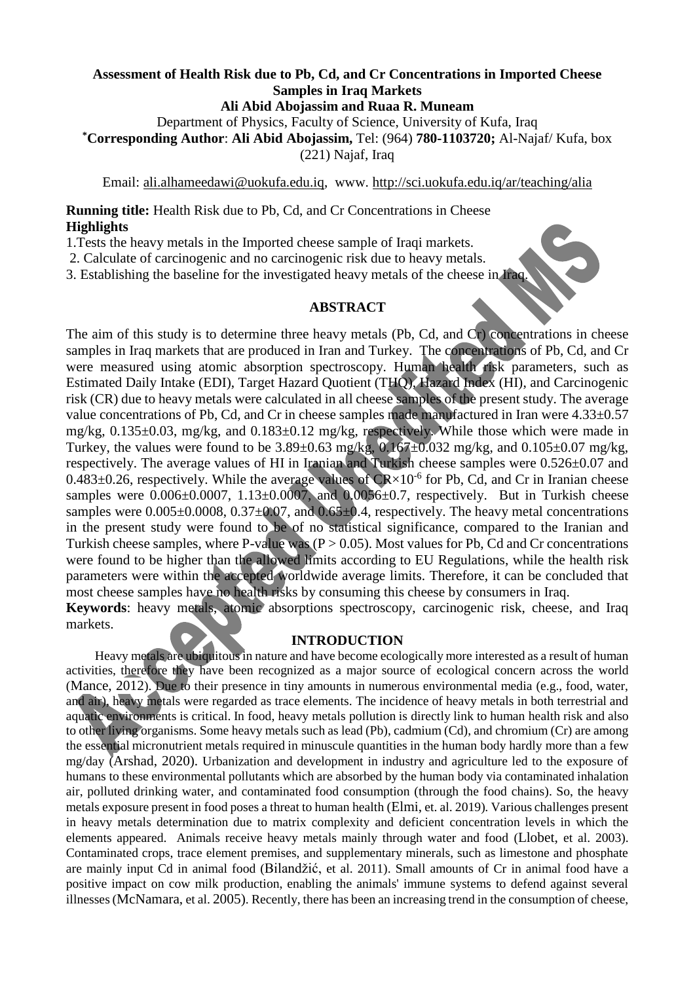#### **Assessment of Health Risk due to Pb, Cd, and Cr Concentrations in Imported Cheese Samples in Iraq Markets Ali Abid Abojassim and Ruaa R. Muneam**

Department of Physics, Faculty of Science, University of Kufa, Iraq **\*Corresponding Author**: **Ali Abid Abojassim,** [Tel: \(964\)](tel:(964)) **780-1103720;** Al-Najaf/ Kufa, box

(221) Najaf, Iraq

Email: [ali.alhameedawi@uokufa.edu.iq,](mailto:ali.alhameedawi@uokufa.edu.iq) www.<http://sci.uokufa.edu.iq/ar/teaching/alia>

**Running title:** Health Risk due to Pb, Cd, and Cr Concentrations in Cheese **Highlights**

1.Tests the heavy metals in the Imported cheese sample of Iraqi markets.

2. Calculate of carcinogenic and no carcinogenic risk due to heavy metals.

3. Establishing the baseline for the investigated heavy metals of the cheese in Iraq.

#### **ABSTRACT**

The aim of this study is to determine three heavy metals (Pb, Cd, and Cr) concentrations in cheese samples in Iraq markets that are produced in Iran and Turkey. The concentrations of Pb, Cd, and Cr were measured using atomic absorption spectroscopy. Human health risk parameters, such as Estimated Daily Intake (EDI), Target Hazard Quotient (THQ), Hazard Index (HI), and Carcinogenic risk (CR) due to heavy metals were calculated in all cheese samples of the present study. The average value concentrations of Pb, Cd, and Cr in cheese samples made manufactured in Iran were 4.33±0.57 mg/kg, 0.135±0.03, mg/kg, and 0.183±0.12 mg/kg, respectively. While those which were made in Turkey, the values were found to be  $3.89\pm0.63$  mg/kg,  $0.167\pm0.032$  mg/kg, and  $0.105\pm0.07$  mg/kg, respectively. The average values of HI in Iranian and Turkish cheese samples were 0.526±0.07 and  $0.483\pm0.26$ , respectively. While the average values of CR $\times 10^{-6}$  for Pb, Cd, and Cr in Iranian cheese samples were  $0.006\pm0.0007$ ,  $1.13\pm0.0007$ , and  $0.0056\pm0.7$ , respectively. But in Turkish cheese samples were  $0.005\pm0.0008$ ,  $0.37\pm0.07$ , and  $0.65\pm0.4$ , respectively. The heavy metal concentrations in the present study were found to be of no statistical significance, compared to the Iranian and Turkish cheese samples, where P-value was ( $P > 0.05$ ). Most values for Pb, Cd and Cr concentrations were found to be higher than the allowed limits according to EU Regulations, while the health risk parameters were within the accepted worldwide average limits. Therefore, it can be concluded that most cheese samples have no health risks by consuming this cheese by consumers in Iraq.

**Keywords**: heavy metals, atomic absorptions spectroscopy, carcinogenic risk, cheese, and Iraq markets.

## **INTRODUCTION**

 Heavy metals are ubiquitous in nature and have become ecologically more interested as a result of human activities, therefore they have been recognized as a major source of ecological concern across the world (Mance, 2012). Due to their presence in tiny amounts in numerous environmental media (e.g., food, water, and air), heavy metals were regarded as trace elements. The incidence of heavy metals in both terrestrial and aquatic environments is critical. In food, heavy metals pollution is directly link to human health risk and also to other living organisms. Some heavy metals such as lead (Pb), cadmium (Cd), and chromium (Cr) are among the essential micronutrient metals required in minuscule quantities in the human body hardly more than a few mg/day (Arshad, 2020). Urbanization and development in industry and agriculture led to the exposure of humans to these environmental pollutants which are absorbed by the human body via contaminated inhalation air, polluted drinking water, and contaminated food consumption (through the food chains). So, the heavy metals exposure present in food poses a threat to human health (Elmi, et. al. 2019)*.* Various challenges present in heavy metals determination due to matrix complexity and deficient concentration levels in which the elements appeared. Animals receive heavy metals mainly through water and food (Llobet, et al. 2003). Contaminated crops, trace element premises, and supplementary minerals, such as limestone and phosphate are mainly input Cd in animal food (Bilandžić, et al. 2011). Small amounts of Cr in animal food have a positive impact on cow milk production, enabling the animals' immune systems to defend against several illnesses(McNamara, et al. 2005). Recently, there has been an increasing trend in the consumption of cheese,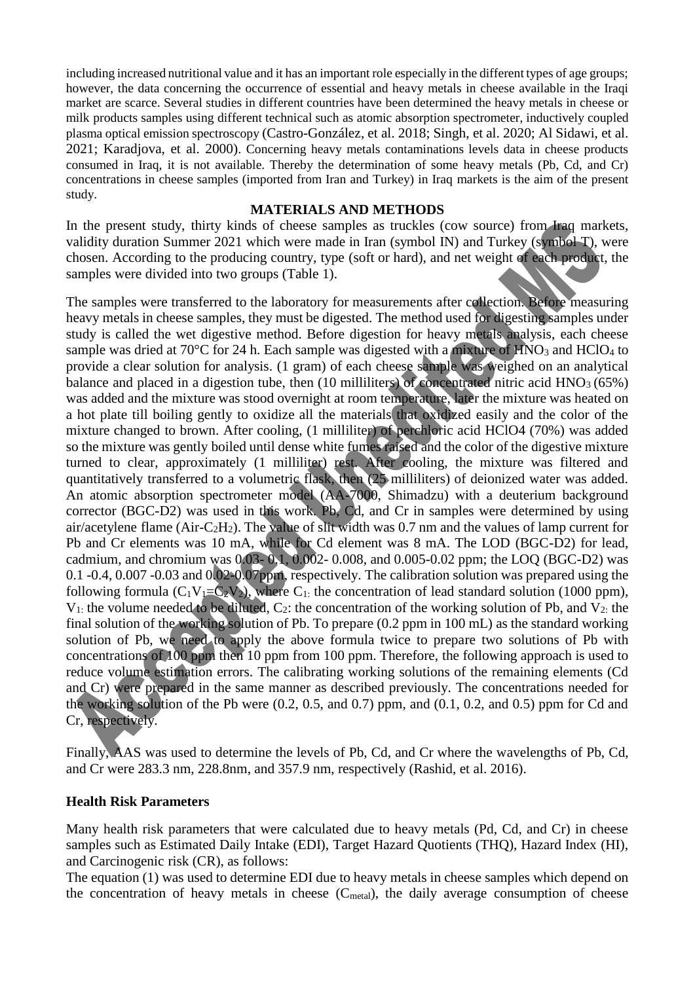including increased nutritional value and it has an important role especially in the different types of age groups; however, the data concerning the occurrence of essential and heavy metals in cheese available in the Iraqi market are scarce. Several studies in different countries have been determined the heavy metals in cheese or milk products samples using different technical such as atomic absorption spectrometer, inductively coupled plasma optical emission spectroscopy (Castro-González, et al. 2018; Singh, et al. 2020; Al Sidawi, et al. 2021; Karadjova, et al. 2000). Concerning heavy metals contaminations levels data in cheese products consumed in Iraq, it is not available. Thereby the determination of some heavy metals (Pb, Cd, and Cr) concentrations in cheese samples (imported from Iran and Turkey) in Iraq markets is the aim of the present study.

#### **MATERIALS AND METHODS**

In the present study, thirty kinds of cheese samples as truckles (cow source) from Iraq markets, validity duration Summer 2021 which were made in Iran (symbol IN) and Turkey (symbol T), were chosen. According to the producing country, type (soft or hard), and net weight of each product, the samples were divided into two groups (Table 1).

The samples were transferred to the laboratory for measurements after collection. Before measuring heavy metals in cheese samples, they must be digested. The method used for digesting samples under study is called the wet digestive method. Before digestion for heavy metals analysis, each cheese sample was dried at 70 $^{\circ}$ C for 24 h. Each sample was digested with a mixture of HNO<sub>3</sub> and HClO<sub>4</sub> to provide a clear solution for analysis. (1 gram) of each cheese sample was weighed on an analytical balance and placed in a digestion tube, then (10 milliliters) of concentrated nitric acid  $HNO<sub>3</sub> (65%)$ was added and the mixture was stood overnight at room temperature, later the mixture was heated on a hot plate till boiling gently to oxidize all the materials that oxidized easily and the color of the mixture changed to brown. After cooling, (1 milliliter) of perchloric acid HClO4 (70%) was added so the mixture was gently boiled until dense white fumes raised and the color of the digestive mixture turned to clear, approximately (1 milliliter) rest. After cooling, the mixture was filtered and quantitatively transferred to a volumetric flask, then (25 milliliters) of deionized water was added. An atomic absorption spectrometer model (AA-7000, Shimadzu) with a deuterium background corrector (BGC-D2) was used in this work. Pb, Cd, and Cr in samples were determined by using air/acetylene flame (Air-C<sub>2</sub>H<sub>2</sub>). The value of slit width was 0.7 nm and the values of lamp current for Pb and Cr elements was 10 mA, while for Cd element was 8 mA. The LOD (BGC-D2) for lead, cadmium, and chromium was 0.03- 0.1, 0.002- 0.008, and 0.005-0.02 ppm; the LOQ (BGC-D2) was 0.1 -0.4, 0.007 -0.03 and 0.02-0.07ppm, respectively. The calibration solution was prepared using the following formula  $(C_1V_1=C_2V_2)$ , where  $C_1$ : the concentration of lead standard solution (1000 ppm),  $V_1$ : the volume needed to be diluted,  $C_2$ : the concentration of the working solution of Pb, and  $V_2$ : the final solution of the working solution of Pb. To prepare (0.2 ppm in 100 mL) as the standard working solution of Pb, we need to apply the above formula twice to prepare two solutions of Pb with concentrations of 100 ppm then 10 ppm from 100 ppm. Therefore, the following approach is used to reduce volume estimation errors. The calibrating working solutions of the remaining elements (Cd and Cr) were prepared in the same manner as described previously. The concentrations needed for the working solution of the Pb were  $(0.2, 0.5, \text{ and } 0.7)$  ppm, and  $(0.1, 0.2, \text{ and } 0.5)$  ppm for Cd and Cr, respectively.

Finally, AAS was used to determine the levels of Pb, Cd, and Cr where the wavelengths of Pb, Cd, and Cr were 283.3 nm, 228.8nm, and 357.9 nm, respectively (Rashid, et al. 2016).

#### **Health Risk Parameters**

Many health risk parameters that were calculated due to heavy metals (Pd, Cd, and Cr) in cheese samples such as Estimated Daily Intake (EDI), Target Hazard Quotients (THQ), Hazard Index (HI), and Carcinogenic risk (CR), as follows:

The equation (1) was used to determine EDI due to heavy metals in cheese samples which depend on the concentration of heavy metals in cheese  $(C_{metal})$ , the daily average consumption of cheese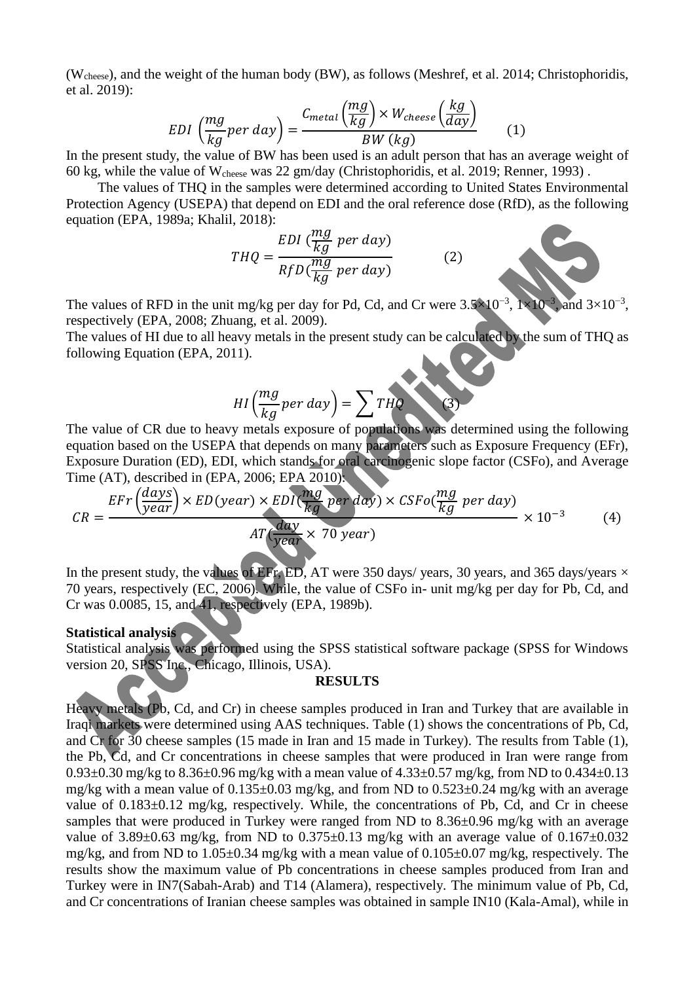(Wcheese), and the weight of the human body (BW), as follows (Meshref, et al. 2014; Christophoridis, et al. 2019):

$$
EDI\left(\frac{mg}{kg}per\,day\right) = \frac{C_{metal}\left(\frac{mg}{kg}\right) \times W_{cheese}\left(\frac{kg}{day}\right)}{BW\left(kg\right)}\tag{1}
$$

In the present study, the value of BW has been used is an adult person that has an average weight of 60 kg, while the value of Wcheese was 22 gm/day (Christophoridis, et al. 2019; Renner, 1993) .

 The values of THQ in the samples were determined according to United States Environmental Protection Agency (USEPA) that depend on EDI and the oral reference dose (RfD), as the following equation (EPA, 1989a; Khalil, 2018):

$$
THQ = \frac{EDI \left(\frac{mg}{kg} \text{ per day}\right)}{RfD\left(\frac{mg}{kg} \text{ per day}\right)}\tag{2}
$$

The values of RFD in the unit mg/kg per day for Pd, Cd, and Cr were  $3.5 \times 10^{-3}$ ,  $1 \times 10^{-3}$ , and  $3\times10^{-3}$ , respectively (EPA, 2008; Zhuang, et al. 2009).

The values of HI due to all heavy metals in the present study can be calculated by the sum of THQ as following Equation (EPA, 2011).

$$
HI\left(\frac{mg}{kg}per\,day\right) = \sum THQ \tag{3}
$$

The value of CR due to heavy metals exposure of populations was determined using the following equation based on the USEPA that depends on many parameters such as Exposure Frequency (EFr), Exposure Duration (ED), EDI, which stands for oral carcinogenic slope factor (CSFo), and Average Time (AT), described in (EPA, 2006; EPA 2010):

$$
CR = \frac{EFr \left(\frac{days}{year}\right) \times ED(year) \times EDl \left(\frac{mg}{kg} \text{ per day}\right) \times CSFo \left(\frac{mg}{kg} \text{ per day}\right)}{AT \left(\frac{day}{year} \times 70 \text{ year}\right)} \times 10^{-3}
$$
 (4)

In the present study, the values of EFr, ED, AT were 350 days/ years, 30 years, and 365 days/years  $\times$ 70 years, respectively (EC, 2006). While, the value of CSFo in- unit mg/kg per day for Pb, Cd, and Cr was 0.0085, 15, and 41, respectively (EPA, 1989b).

# **Statistical analysis**

Statistical analysis was performed using the SPSS statistical software package (SPSS for Windows version 20, SPSS Inc., Chicago, Illinois, USA).

#### **RESULTS**

Heavy metals (Pb, Cd, and Cr) in cheese samples produced in Iran and Turkey that are available in Iraqi markets were determined using AAS techniques. Table (1) shows the concentrations of Pb, Cd, and Cr for 30 cheese samples (15 made in Iran and 15 made in Turkey). The results from Table (1), the Pb, Cd, and Cr concentrations in cheese samples that were produced in Iran were range from 0.93 $\pm$ 0.30 mg/kg to 8.36 $\pm$ 0.96 mg/kg with a mean value of 4.33 $\pm$ 0.57 mg/kg, from ND to 0.434 $\pm$ 0.13 mg/kg with a mean value of 0.135±0.03 mg/kg, and from ND to 0.523±0.24 mg/kg with an average value of 0.183 $\pm$ 0.12 mg/kg, respectively. While, the concentrations of Pb, Cd, and Cr in cheese samples that were produced in Turkey were ranged from ND to 8.36±0.96 mg/kg with an average value of  $3.89\pm0.63$  mg/kg, from ND to  $0.375\pm0.13$  mg/kg with an average value of  $0.167\pm0.032$ mg/kg, and from ND to 1.05±0.34 mg/kg with a mean value of 0.105±0.07 mg/kg, respectively. The results show the maximum value of Pb concentrations in cheese samples produced from Iran and Turkey were in IN7(Sabah-Arab) and T14 (Alamera), respectively. The minimum value of Pb, Cd, and Cr concentrations of Iranian cheese samples was obtained in sample IN10 (Kala-Amal), while in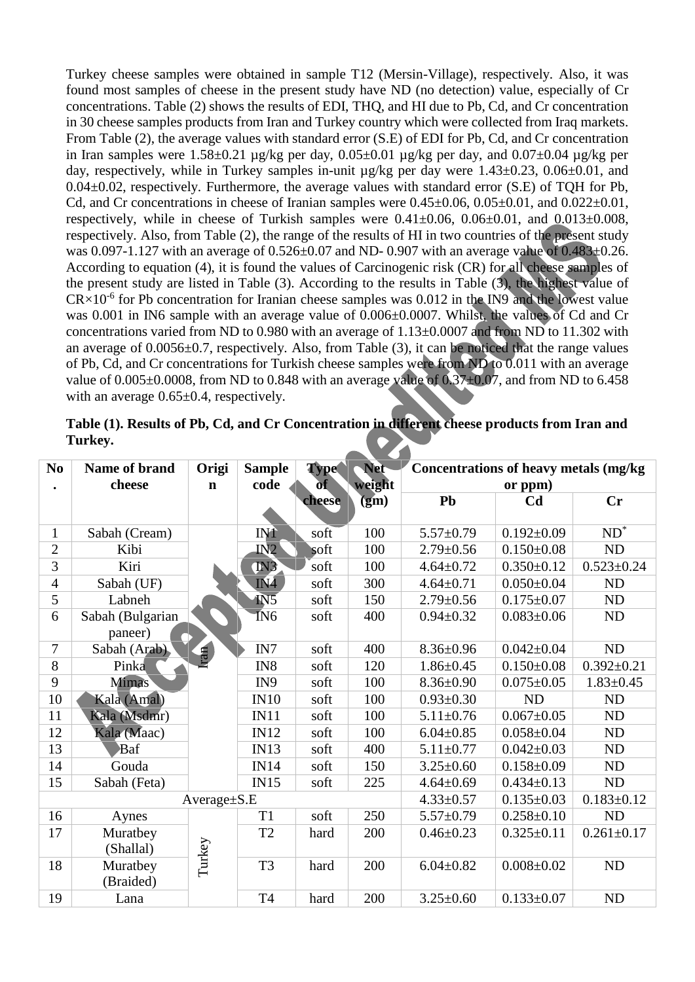Turkey cheese samples were obtained in sample T12 (Mersin-Village), respectively. Also, it was found most samples of cheese in the present study have ND (no detection) value, especially of Cr concentrations. Table (2) shows the results of EDI, THQ, and HI due to Pb, Cd, and Cr concentration in 30 cheese samples products from Iran and Turkey country which were collected from Iraq markets. From Table (2), the average values with standard error (S.E) of EDI for Pb, Cd, and Cr concentration in Iran samples were  $1.58\pm0.21$  µg/kg per day,  $0.05\pm0.01$  µg/kg per day, and  $0.07\pm0.04$  µg/kg per day, respectively, while in Turkey samples in-unit µg/kg per day were 1.43±0.23, 0.06±0.01, and 0.04±0.02, respectively. Furthermore, the average values with standard error (S.E) of TQH for Pb, Cd, and Cr concentrations in cheese of Iranian samples were  $0.45\pm0.06$ ,  $0.05\pm0.01$ , and  $0.022\pm0.01$ , respectively, while in cheese of Turkish samples were  $0.41\pm0.06$ ,  $0.06\pm0.01$ , and  $0.013\pm0.008$ , respectively. Also, from Table (2), the range of the results of HI in two countries of the present study was 0.097-1.127 with an average of  $0.526 \pm 0.07$  and ND- 0.907 with an average value of  $0.483 \pm 0.26$ . According to equation (4), it is found the values of Carcinogenic risk (CR) for all cheese samples of the present study are listed in Table (3). According to the results in Table (3), the highest value of  $CR \times 10^{-6}$  for Pb concentration for Iranian cheese samples was 0.012 in the IN9 and the lowest value was 0.001 in IN6 sample with an average value of 0.006±0.0007. Whilst, the values of Cd and Cr concentrations varied from ND to 0.980 with an average of 1.13±0.0007 and from ND to 11.302 with an average of 0.0056±0.7, respectively. Also, from Table (3), it can be noticed that the range values of Pb, Cd, and Cr concentrations for Turkish cheese samples were from ND to 0.011 with an average value of  $0.005\pm0.0008$ , from ND to 0.848 with an average value of  $0.37\pm0.07$ , and from ND to 6.458 with an average  $0.65\pm0.4$ , respectively.

| Table (1). Results of Pb, Cd, and Cr Concentration in different cheese products from Iran and |  |
|-----------------------------------------------------------------------------------------------|--|
| Turkey.                                                                                       |  |

| N <sub>0</sub> | <b>Type</b><br><b>Name of brand</b><br>Origi<br><b>Sample</b> |             |                 | <b>Net</b> | <b>Concentrations of heavy metals (mg/kg)</b> |                  |                  |                            |
|----------------|---------------------------------------------------------------|-------------|-----------------|------------|-----------------------------------------------|------------------|------------------|----------------------------|
|                | cheese                                                        | $\mathbf n$ | code            | <b>of</b>  | weight                                        | or ppm)          |                  |                            |
|                |                                                               |             |                 | cheese     | (gm)                                          | Pb               | C <sub>d</sub>   | <b>Cr</b>                  |
|                |                                                               |             |                 |            |                                               |                  |                  |                            |
| $\mathbf{1}$   | Sabah (Cream)                                                 |             | <b>IN1</b>      | soft       | 100                                           | $5.57 \pm 0.79$  | $0.192 \pm 0.09$ | $\overline{\mathrm{ND}^*}$ |
| $\overline{2}$ | Kibi                                                          |             | IN2             | soft       | 100                                           | $2.79 \pm 0.56$  | $0.150 \pm 0.08$ | ND                         |
| 3              | Kiri                                                          |             | IN3             | soft       | 100                                           | $4.64 \pm 0.72$  | $0.350 \pm 0.12$ | $0.523 \pm 0.24$           |
| $\overline{4}$ | Sabah (UF)                                                    |             | IN4             | soft       | 300                                           | $4.64 \pm 0.71$  | $0.050 \pm 0.04$ | <b>ND</b>                  |
| 5              | Labneh                                                        |             | IN <sub>5</sub> | soft       | 150                                           | $2.79 \pm 0.56$  | $0.175 \pm 0.07$ | ND                         |
| 6              | Sabah (Bulgarian                                              |             | IN <sub>6</sub> | soft       | 400                                           | $0.94 \pm 0.32$  | $0.083 \pm 0.06$ | ND                         |
|                | paneer)                                                       |             |                 |            |                                               |                  |                  |                            |
| 7              | Sabah (Arab),                                                 | ran         | IN7             | soft       | 400                                           | $8.36 \pm 0.96$  | $0.042 \pm 0.04$ | ND                         |
| 8              | Pinka                                                         |             | IN8             | soft       | 120                                           | $1.86 \pm 0.45$  | $0.150 \pm 0.08$ | $0.392 \pm 0.21$           |
| 9              | <b>Mimas</b>                                                  |             | IN9             | soft       | 100                                           | $8.36 \pm 0.90$  | $0.075 \pm 0.05$ | $1.83 \pm 0.45$            |
| 10             | Kala (Amal)                                                   |             | IN10            | soft       | 100                                           | $0.93 \pm 0.30$  | <b>ND</b>        | ND                         |
| 11             | Kala (Msdmr)                                                  |             | IN11            | soft       | 100                                           | $5.11 \pm 0.76$  | $0.067 \pm 0.05$ | <b>ND</b>                  |
| 12             | Kala (Maac)                                                   |             | IN12            | soft       | 100                                           | $6.04 \pm 0.85$  | $0.058 \pm 0.04$ | ND                         |
| 13             | Baf                                                           |             | <b>IN13</b>     | soft       | 400                                           | $5.11 \pm 0.77$  | $0.042 \pm 0.03$ | <b>ND</b>                  |
| 14             | Gouda                                                         |             | <b>IN14</b>     | soft       | 150                                           | $3.25 \pm 0.60$  | $0.158 \pm 0.09$ | <b>ND</b>                  |
| 15             | Sabah (Feta)                                                  |             | IN15            | soft       | 225                                           | $4.64 \pm 0.69$  | $0.434 \pm 0.13$ | <b>ND</b>                  |
|                |                                                               | Average±S.E |                 |            | $4.33 \pm 0.57$                               | $0.135 \pm 0.03$ | $0.183 + 0.12$   |                            |
| 16             | Aynes                                                         |             | T <sub>1</sub>  | soft       | 250                                           | $5.57 \pm 0.79$  | $0.258 \pm 0.10$ | ND                         |
| 17             | Muratbey                                                      |             | T <sub>2</sub>  | hard       | 200                                           | $0.46 \pm 0.23$  | $0.325 \pm 0.11$ | $0.261 \pm 0.17$           |
|                | (Shallal)                                                     |             |                 |            |                                               |                  |                  |                            |
| 18             | Muratbey                                                      | Turkey      | T <sub>3</sub>  | hard       | 200                                           | $6.04 \pm 0.82$  | $0.008 \pm 0.02$ | ND                         |
|                | (Braided)                                                     |             |                 |            |                                               |                  |                  |                            |
| 19             | Lana                                                          |             | <b>T4</b>       | hard       | 200                                           | $3.25 \pm 0.60$  | $0.133 \pm 0.07$ | ND                         |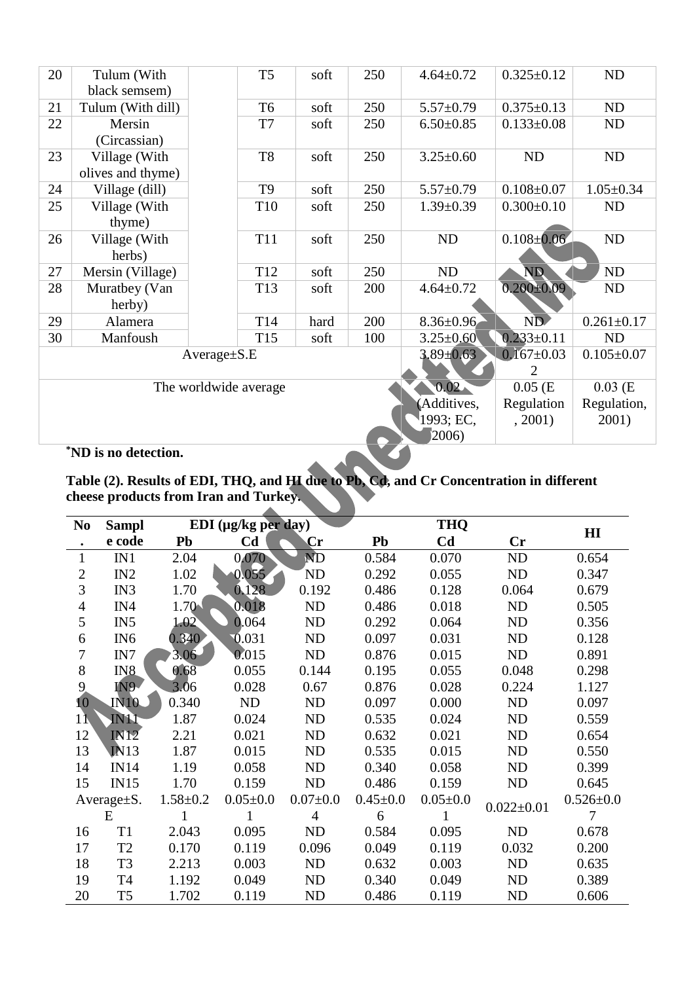| black semsem)<br>Tulum (With dill)<br>T <sub>6</sub><br>250<br>21<br>$5.57 \pm 0.79$<br>$0.375 \pm 0.13$<br>soft<br>22<br>T7<br>Mersin<br>250<br>$6.50 \pm 0.85$<br>$0.133 \pm 0.08$<br>soft<br>(Circassian)<br>T <sub>8</sub><br>23<br>Village (With<br>250<br>$3.25 \pm 0.60$<br>soft<br>ND<br>olives and thyme)<br>T <sub>9</sub><br>$0.108 \pm 0.07$<br>24<br>Village (dill)<br>250<br>soft<br>$5.57 \pm 0.79$<br>Village (With<br>25<br>$0.300 \pm 0.10$<br>T <sub>10</sub><br>250<br>$1.39 \pm 0.39$<br>soft<br>thyme)<br>$0.108 \pm 0.06$<br>250<br>26<br>Village (With<br><b>T11</b><br><b>ND</b><br>soft<br>herbs)<br>N <sub>D</sub><br>250<br>ND<br>27<br>Mersin (Village)<br>T <sub>12</sub><br>soft<br>$0.200 + 0.09$<br>28<br>Muratbey (Van<br>$4.64 \pm 0.72$<br>T <sub>13</sub><br>200<br>soft | <b>ND</b><br><b>ND</b><br><b>ND</b> |  |  |  |  |  |  |  |  |
|---------------------------------------------------------------------------------------------------------------------------------------------------------------------------------------------------------------------------------------------------------------------------------------------------------------------------------------------------------------------------------------------------------------------------------------------------------------------------------------------------------------------------------------------------------------------------------------------------------------------------------------------------------------------------------------------------------------------------------------------------------------------------------------------------------------|-------------------------------------|--|--|--|--|--|--|--|--|
|                                                                                                                                                                                                                                                                                                                                                                                                                                                                                                                                                                                                                                                                                                                                                                                                               |                                     |  |  |  |  |  |  |  |  |
|                                                                                                                                                                                                                                                                                                                                                                                                                                                                                                                                                                                                                                                                                                                                                                                                               |                                     |  |  |  |  |  |  |  |  |
|                                                                                                                                                                                                                                                                                                                                                                                                                                                                                                                                                                                                                                                                                                                                                                                                               |                                     |  |  |  |  |  |  |  |  |
|                                                                                                                                                                                                                                                                                                                                                                                                                                                                                                                                                                                                                                                                                                                                                                                                               |                                     |  |  |  |  |  |  |  |  |
|                                                                                                                                                                                                                                                                                                                                                                                                                                                                                                                                                                                                                                                                                                                                                                                                               | $1.05 \pm 0.34$                     |  |  |  |  |  |  |  |  |
|                                                                                                                                                                                                                                                                                                                                                                                                                                                                                                                                                                                                                                                                                                                                                                                                               | <b>ND</b>                           |  |  |  |  |  |  |  |  |
|                                                                                                                                                                                                                                                                                                                                                                                                                                                                                                                                                                                                                                                                                                                                                                                                               | <b>ND</b>                           |  |  |  |  |  |  |  |  |
|                                                                                                                                                                                                                                                                                                                                                                                                                                                                                                                                                                                                                                                                                                                                                                                                               | ND                                  |  |  |  |  |  |  |  |  |
| herby)                                                                                                                                                                                                                                                                                                                                                                                                                                                                                                                                                                                                                                                                                                                                                                                                        | ND                                  |  |  |  |  |  |  |  |  |
| ND<br>29<br>200<br>T14<br>$8.36 \pm 0.96$<br>hard<br>Alamera                                                                                                                                                                                                                                                                                                                                                                                                                                                                                                                                                                                                                                                                                                                                                  | $0.261 \pm 0.17$                    |  |  |  |  |  |  |  |  |
| $0.233 \pm 0.11$<br>30<br>Manfoush<br>T <sub>15</sub><br>100<br>$3.25 \pm 0.60$<br>soft                                                                                                                                                                                                                                                                                                                                                                                                                                                                                                                                                                                                                                                                                                                       | <b>ND</b>                           |  |  |  |  |  |  |  |  |
| $0.167 \pm 0.03$<br>$3.89 \pm 0.63$<br>$Average \pm S.E$<br>$\overline{2}$                                                                                                                                                                                                                                                                                                                                                                                                                                                                                                                                                                                                                                                                                                                                    | $0.105 \pm 0.07$                    |  |  |  |  |  |  |  |  |
| $0.02 -$<br>$0.05$ (E<br>The worldwide average                                                                                                                                                                                                                                                                                                                                                                                                                                                                                                                                                                                                                                                                                                                                                                | $0.03$ (E                           |  |  |  |  |  |  |  |  |
| (Additives,<br>Regulation                                                                                                                                                                                                                                                                                                                                                                                                                                                                                                                                                                                                                                                                                                                                                                                     | Regulation,                         |  |  |  |  |  |  |  |  |
| 1993; EC,<br>, 2001)<br>2001)                                                                                                                                                                                                                                                                                                                                                                                                                                                                                                                                                                                                                                                                                                                                                                                 |                                     |  |  |  |  |  |  |  |  |
| 2006                                                                                                                                                                                                                                                                                                                                                                                                                                                                                                                                                                                                                                                                                                                                                                                                          |                                     |  |  |  |  |  |  |  |  |

#### **\*ND is no detection.**

# **Table (2). Results of EDI, THQ, and HI due to Pb, Cd, and Cr Concentration in different cheese products from Iran and Turkey.**

| N <sub>0</sub>   | <b>Sampl</b>    |                | EDI (µg/kg per day) |                          |                | <b>THQ</b>     |                  | $\mathbf{H}$    |
|------------------|-----------------|----------------|---------------------|--------------------------|----------------|----------------|------------------|-----------------|
|                  | e code          | Pb             | C <sub>d</sub>      | $\mathbf{Cr}$            | Pb             | C <sub>d</sub> | Cr               |                 |
| $\mathbf{1}$     | IN1             | 2.04           | 0.070               | $\overline{\mathrm{ND}}$ | 0.584          | 0.070          | ND               | 0.654           |
| $\boldsymbol{2}$ | IN2             | 1.02           | 0.055               | <b>ND</b>                | 0.292          | 0.055          | ND               | 0.347           |
| 3                | IN3             | 1.70           | 0.128               | 0.192                    | 0.486          | 0.128          | 0.064            | 0.679           |
| $\overline{4}$   | IN4             | 1.70           | 0.018               | <b>ND</b>                | 0.486          | 0.018          | ND               | 0.505           |
| 5                | IN5             | 1.02           | 0.064               | <b>ND</b>                | 0.292          | 0.064          | ND               | 0.356           |
| 6                | IN <sub>6</sub> | 0.340          | 0.031               | <b>ND</b>                | 0.097          | 0.031          | ND               | 0.128           |
| $\tau$           | IN7             | $3.06 -$       | 0.015               | <b>ND</b>                | 0.876          | 0.015          | ND               | 0.891           |
| 8                | IN <sub>8</sub> | 0.68           | 0.055               | 0.144                    | 0.195          | 0.055          | 0.048            | 0.298           |
| 9 <sub>l</sub>   | $IN9-$          | 3.06           | 0.028               | 0.67                     | 0.876          | 0.028          | 0.224            | 1.127           |
| 10               | <b>IN10</b>     | 0.340          | ND                  | <b>ND</b>                | 0.097          | 0.000          | <b>ND</b>        | 0.097           |
| 11               | <b>IN11</b>     | 1.87           | 0.024               | <b>ND</b>                | 0.535          | 0.024          | ND               | 0.559           |
| 12               | <b>IN12</b>     | 2.21           | 0.021               | <b>ND</b>                | 0.632          | 0.021          | ND               | 0.654           |
| 13               | IN13            | 1.87           | 0.015               | <b>ND</b>                | 0.535          | 0.015          | ND               | 0.550           |
| 14               | <b>IN14</b>     | 1.19           | 0.058               | <b>ND</b>                | 0.340          | 0.058          | ND               | 0.399           |
| 15               | IN15            | 1.70           | 0.159               | <b>ND</b>                | 0.486          | 0.159          | ND               | 0.645           |
|                  | Average + S.    | $1.58 \pm 0.2$ | $0.05 \pm 0.0$      | $0.07 + 0.0$             | $0.45 \pm 0.0$ | $0.05 \pm 0.0$ | $0.022 \pm 0.01$ | $0.526 \pm 0.0$ |
|                  | E               | 1              | 1                   | $\overline{4}$           | 6              |                |                  | 7               |
| 16               | T <sub>1</sub>  | 2.043          | 0.095               | <b>ND</b>                | 0.584          | 0.095          | ND               | 0.678           |
| 17               | T <sub>2</sub>  | 0.170          | 0.119               | 0.096                    | 0.049          | 0.119          | 0.032            | 0.200           |
| 18               | T <sub>3</sub>  | 2.213          | 0.003               | <b>ND</b>                | 0.632          | 0.003          | ND               | 0.635           |
| 19               | T <sub>4</sub>  | 1.192          | 0.049               | <b>ND</b>                | 0.340          | 0.049          | ND               | 0.389           |
| 20               | T <sub>5</sub>  | 1.702          | 0.119               | <b>ND</b>                | 0.486          | 0.119          | ND               | 0.606           |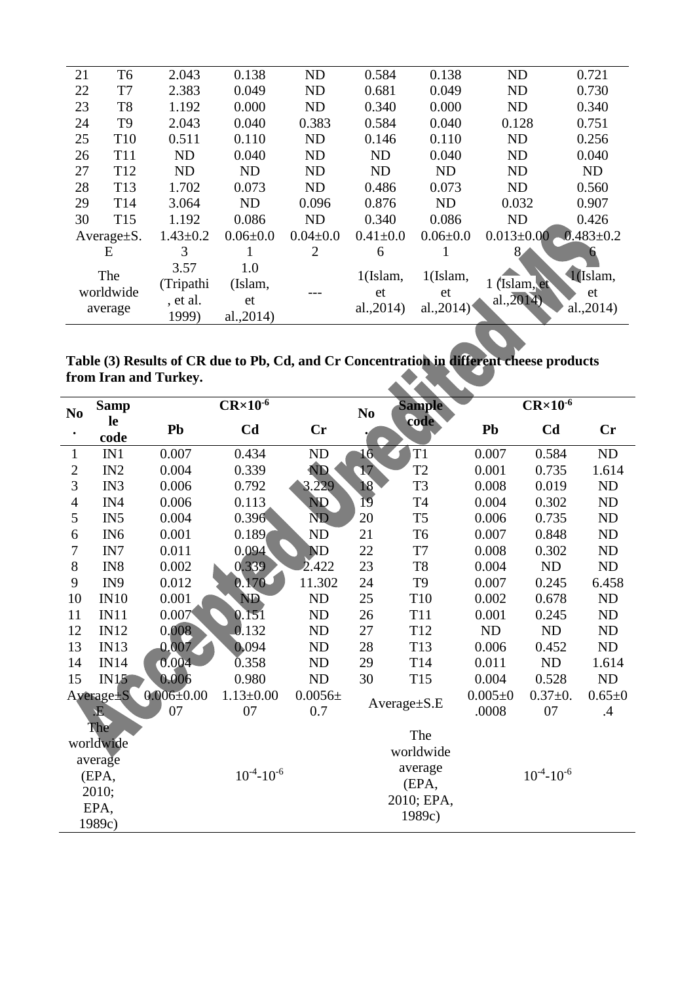| 21                          | T <sub>6</sub>  | 2.043                         | 0.138                | <b>ND</b>      | 0.584             | 0.138             | <b>ND</b>                  | 0.721           |
|-----------------------------|-----------------|-------------------------------|----------------------|----------------|-------------------|-------------------|----------------------------|-----------------|
| 22<br>T7                    |                 | 2.383                         | 0.049                | <b>ND</b>      | 0.681             | 0.049             | <b>ND</b>                  | 0.730           |
| 23<br>T <sub>8</sub>        |                 | 1.192                         | 0.000                | <b>ND</b>      | 0.340             | 0.000             | <b>ND</b>                  | 0.340           |
| T <sub>9</sub><br>24        |                 | 2.043                         | 0.040                | 0.383          | 0.584             | 0.040             | 0.128                      | 0.751           |
| 25                          | T <sub>10</sub> | 0.511                         | 0.110                | <b>ND</b>      | 0.146             | 0.110             | <b>ND</b>                  | 0.256           |
| 26                          | <b>T11</b>      | <b>ND</b>                     | 0.040                | <b>ND</b>      | <b>ND</b>         | 0.040             | <b>ND</b>                  | 0.040           |
| 27                          | T <sub>12</sub> | <b>ND</b>                     | <b>ND</b>            | <b>ND</b>      | <b>ND</b>         | <b>ND</b>         | <b>ND</b>                  | <b>ND</b>       |
| 28                          | T <sub>13</sub> | 1.702                         | 0.073                | <b>ND</b>      | 0.486             | 0.073             | <b>ND</b>                  | 0.560           |
| 29                          | T14             | 3.064                         | <b>ND</b>            | 0.096          | 0.876             | <b>ND</b>         | 0.032                      | 0.907           |
| 30<br>T <sub>15</sub>       |                 | 1.192                         | 0.086                | <b>ND</b>      | 0.340             | 0.086             | N <sub>D</sub>             | 0.426           |
| Average $\pm$ S.            |                 | $1.43 \pm 0.2$                | $0.06 \pm 0.0$       | $0.04 \pm 0.0$ | $0.41 \pm 0.0$    | $0.06 \pm 0.0$    | $0.013 \pm 0.00$           | $0.483 \pm 0.2$ |
| E                           |                 | 3                             |                      | 2              | 6                 |                   |                            | h.              |
| The<br>worldwide<br>average |                 | 3.57<br>(Tripathi<br>, et al. | 1.0<br>(Islam,<br>et |                | $1$ (Islam,<br>et | $1$ (Islam,<br>et | 1 (Islam, et<br>al., 2014) | 1(Islam,<br>et  |
|                             |                 | 1999)                         | al., 2014)           |                | al., 2014)        | al., $2014$       |                            | al., 2014)      |

| Table (3) Results of CR due to Pb, Cd, and Cr Concentration in different cheese products |                 |
|------------------------------------------------------------------------------------------|-----------------|
| from Iran and Turkey.                                                                    | <b>ANTISTER</b> |

| N <sub>0</sub> | <b>Samp</b>           | $CR \times 10^{-6}$ |                     |                |                  | <b>Sample</b><br>N <sub>0</sub> |               | $CR \times 10^{-6}$ |              |  |
|----------------|-----------------------|---------------------|---------------------|----------------|------------------|---------------------------------|---------------|---------------------|--------------|--|
| $\bullet$      | le<br>code            | Pb                  | C <sub>d</sub>      | Cr             |                  | code                            | Pb            | C <sub>d</sub>      | Cr           |  |
| 1              | IN1                   | 0.007               | 0.434               | ND             | 16 <sub>1</sub>  | T <sub>1</sub>                  | 0.007         | 0.584               | ND           |  |
| $\sqrt{2}$     | IN2                   | 0.004               | 0.339               | ND <sub></sub> | 17               | T <sub>2</sub>                  | 0.001         | 0.735               | 1.614        |  |
| 3              | IN3                   | 0.006               | 0.792               | 3.229          | 18               | T <sub>3</sub>                  | 0.008         | 0.019               | ND           |  |
| $\overline{4}$ | IN4                   | 0.006               | 0.113               | <b>ND</b>      | 19               | T <sub>4</sub>                  | 0.004         | 0.302               | ND           |  |
| 5              | IN <sub>5</sub>       | 0.004               | 0.396               | N <sub>D</sub> | 20               | T <sub>5</sub>                  | 0.006         | 0.735               | ND           |  |
| 6              | IN <sub>6</sub>       | 0.001               | 0.189               | <b>ND</b>      | 21               | T <sub>6</sub>                  | 0.007         | 0.848               | ND           |  |
| $\tau$         | IN7                   | 0.011               | 0.094               | <b>ND</b>      | 22               | $\rm{T}7$                       | 0.008         | 0.302               | ND           |  |
| 8              | IN <sub>8</sub>       | 0.002               | 0.339               | 2.422          | 23               | T <sub>8</sub>                  | 0.004         | ND                  | ND           |  |
| 9              | IN9                   | 0.012               | $0.170 -$           | 11.302         | 24               | T <sub>9</sub>                  | 0.007         | 0.245               | 6.458        |  |
| 10             | IN10                  | 0.001               | ND                  | ND             | 25               | T10                             | 0.002         | 0.678               | ND           |  |
| 11             | IN11                  | 0.007               | 0.151               | <b>ND</b>      | 26               | T11                             | 0.001         | 0.245               | ND           |  |
| 12             | IN12                  | 0.008               | 0.132               | <b>ND</b>      | 27               | T <sub>12</sub>                 | ND            | ND                  | ND           |  |
| 13             | IN13                  | 0.007               | 0.094               | ND             | 28               | T13                             | 0.006         | 0.452               | ND           |  |
| 14             | IN14                  | 0.004               | 0.358               | <b>ND</b>      | 29               | T14                             | 0.011         | ND                  | 1.614        |  |
| 15             | IN15                  | 0.006               | 0.980               | ND             | 30               | T <sub>15</sub>                 | 0.004         | 0.528               | ND           |  |
|                | Average <sup>+S</sup> | $0.006 \pm 0.00$    | $1.13 \pm 0.00$     | $0.0056\pm$    |                  |                                 | $0.005 \pm 0$ | $0.37 + 0.$         | $0.65 \pm 0$ |  |
|                | 王<br><b>The</b>       | 07                  | 07                  | 0.7            |                  | Average±S.E                     | .0008         | 07                  | .4           |  |
|                | worldwide             |                     |                     |                |                  | The<br>worldwide                |               |                     |              |  |
|                | average               |                     |                     |                |                  |                                 |               |                     |              |  |
|                | (EPA,                 |                     | $10^{-4} - 10^{-6}$ |                | average<br>(EPA, |                                 |               | $10^{-4} - 10^{-6}$ |              |  |
|                | 2010;                 |                     |                     |                |                  | 2010; EPA,                      |               |                     |              |  |
|                | EPA,                  |                     |                     |                |                  | 1989c)                          |               |                     |              |  |
| 1989c)         |                       |                     |                     |                |                  |                                 |               |                     |              |  |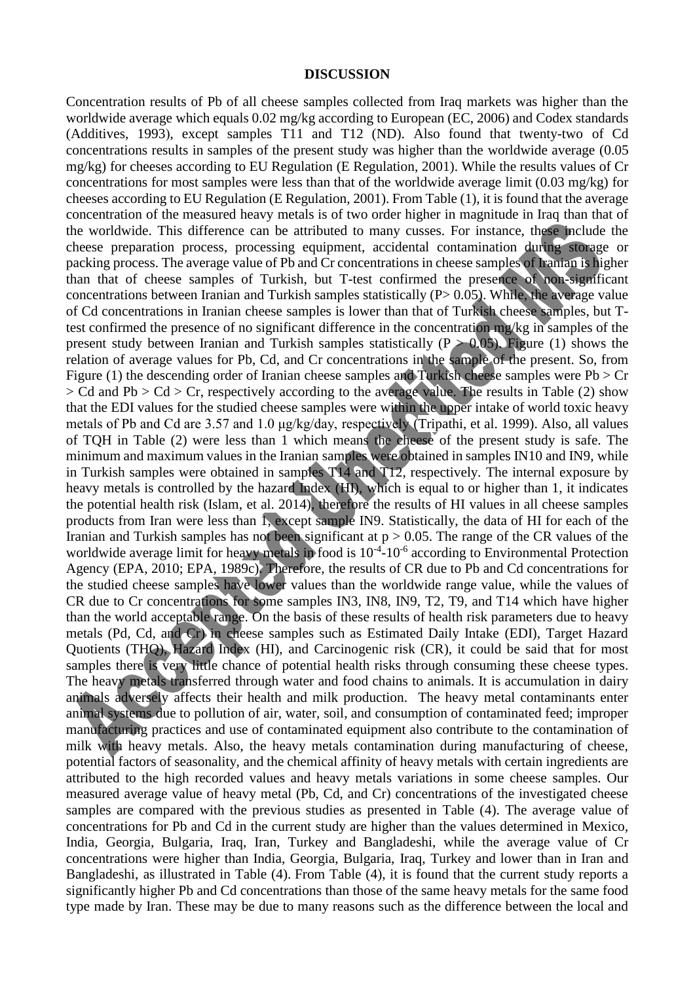#### **DISCUSSION**

Concentration results of Pb of all cheese samples collected from Iraq markets was higher than the worldwide average which equals 0.02 mg/kg according to European (EC, 2006) and Codex standards (Additives, 1993), except samples T11 and T12 (ND). Also found that twenty-two of Cd concentrations results in samples of the present study was higher than the worldwide average (0.05 mg/kg) for cheeses according to EU Regulation (E Regulation, 2001). While the results values of Cr concentrations for most samples were less than that of the worldwide average limit (0.03 mg/kg) for cheeses according to EU Regulation (E Regulation, 2001). From Table (1), it is found that the average concentration of the measured heavy metals is of two order higher in magnitude in Iraq than that of the worldwide. This difference can be attributed to many cusses. For instance, these include the cheese preparation process, processing equipment, accidental contamination during storage or packing process. The average value of Pb and Cr concentrations in cheese samples of Iranian is higher than that of cheese samples of Turkish, but T-test confirmed the presence of non-significant concentrations between Iranian and Turkish samples statistically (P> 0.05). While, the average value of Cd concentrations in Iranian cheese samples is lower than that of Turkish cheese samples, but Ttest confirmed the presence of no significant difference in the concentration mg/kg in samples of the present study between Iranian and Turkish samples statistically ( $P > 0.05$ ). Figure (1) shows the relation of average values for Pb, Cd, and Cr concentrations in the sample of the present. So, from Figure (1) the descending order of Iranian cheese samples and Turkish cheese samples were  $Pb > Cr$ > Cd and Pb > Cd > Cr, respectively according to the average value. The results in Table (2) show that the EDI values for the studied cheese samples were within the upper intake of world toxic heavy metals of Pb and Cd are 3.57 and 1.0 μg/kg/day, respectively (Tripathi, et al. 1999). Also, all values of TQH in Table (2) were less than 1 which means the cheese of the present study is safe. The minimum and maximum values in the Iranian samples were obtained in samples IN10 and IN9, while in Turkish samples were obtained in samples T14 and T12, respectively. The internal exposure by heavy metals is controlled by the hazard Index (HI), which is equal to or higher than 1, it indicates the potential health risk (Islam, et al. 2014), therefore the results of HI values in all cheese samples products from Iran were less than 1, except sample IN9. Statistically, the data of HI for each of the Iranian and Turkish samples has not been significant at  $p > 0.05$ . The range of the CR values of the worldwide average limit for heavy metals in food is  $10^{-4}$ - $10^{-6}$  according to Environmental Protection Agency (EPA, 2010; EPA, 1989c). Therefore, the results of CR due to Pb and Cd concentrations for the studied cheese samples have lower values than the worldwide range value, while the values of CR due to Cr concentrations for some samples IN3, IN8, IN9, T2, T9, and T14 which have higher than the world acceptable range. On the basis of these results of health risk parameters due to heavy metals (Pd, Cd, and Cr) in cheese samples such as Estimated Daily Intake (EDI), Target Hazard Quotients (THQ), Hazard Index (HI), and Carcinogenic risk (CR), it could be said that for most samples there is very little chance of potential health risks through consuming these cheese types. The heavy metals transferred through water and food chains to animals. It is accumulation in dairy animals adversely affects their health and milk production. The heavy metal contaminants enter animal systems due to pollution of air, water, soil, and consumption of contaminated feed; improper manufacturing practices and use of contaminated equipment also contribute to the contamination of milk with heavy metals. Also, the heavy metals contamination during manufacturing of cheese, potential factors of seasonality, and the chemical affinity of heavy metals with certain ingredients are attributed to the high recorded values and heavy metals variations in some cheese samples. Our measured average value of heavy metal (Pb, Cd, and Cr) concentrations of the investigated cheese samples are compared with the previous studies as presented in Table (4). The average value of concentrations for Pb and Cd in the current study are higher than the values determined in Mexico, India, Georgia, Bulgaria, Iraq, Iran, Turkey and Bangladeshi, while the average value of Cr concentrations were higher than India, Georgia, Bulgaria, Iraq, Turkey and lower than in Iran and Bangladeshi, as illustrated in Table (4). From Table (4), it is found that the current study reports a significantly higher Pb and Cd concentrations than those of the same heavy metals for the same food type made by Iran. These may be due to many reasons such as the difference between the local and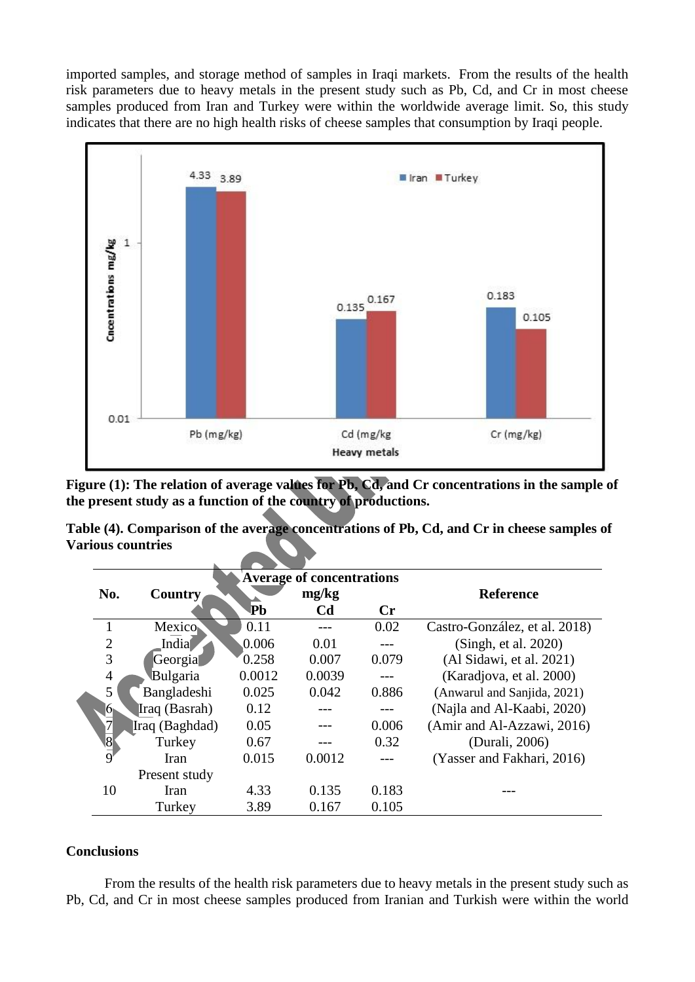imported samples, and storage method of samples in Iraqi markets. From the results of the health risk parameters due to heavy metals in the present study such as Pb, Cd, and Cr in most cheese samples produced from Iran and Turkey were within the worldwide average limit. So, this study indicates that there are no high health risks of cheese samples that consumption by Iraqi people.



Figure (1): The relation of average values for Pb, Cd, and Cr concentrations in the sample of **the present study as a function of the country of productions.**

**Table (4). Comparison of the average concentrations of Pb, Cd, and Cr in cheese samples of Various countries**

|                       |                |        | <b>Average of concentrations</b> |                |                               |
|-----------------------|----------------|--------|----------------------------------|----------------|-------------------------------|
| No.                   | <b>Country</b> |        | mg/kg                            |                | <b>Reference</b>              |
|                       |                | ∣Рb    | C <sub>d</sub>                   | $\mathbf{C}$ r |                               |
|                       | Mexico         | 0.11   |                                  | 0.02           | Castro-González, et al. 2018) |
| $\overline{2}$        | India          | 0.006  | 0.01                             | ---            | (Singh, et al. 2020)          |
| 3                     | Georgia        | 0.258  | 0.007                            | 0.079          | (Al Sidawi, et al. 2021)      |
| $\overline{4}$        | Bulgaria       | 0.0012 | 0.0039                           |                | (Karadjova, et al. 2000)      |
| 5                     | Bangladeshi    | 0.025  | 0.042                            | 0.886          | (Anwarul and Sanjida, 2021)   |
| 6⊾                    | Iraq (Basrah)  | 0.12   |                                  |                | (Najla and Al-Kaabi, 2020)    |
|                       | Iraq (Baghdad) | 0.05   |                                  | 0.006          | (Amir and Al-Azzawi, 2016)    |
| $\overline{\text{8}}$ | Turkey         | 0.67   |                                  | 0.32           | (Durali, 2006)                |
| 9                     | Iran           | 0.015  | 0.0012                           |                | (Yasser and Fakhari, 2016)    |
|                       | Present study  |        |                                  |                |                               |
| 10                    | Iran           | 4.33   | 0.135                            | 0.183          |                               |
|                       | Turkey         | 3.89   | 0.167                            | 0.105          |                               |

#### **Conclusions**

 From the results of the health risk parameters due to heavy metals in the present study such as Pb, Cd, and Cr in most cheese samples produced from Iranian and Turkish were within the world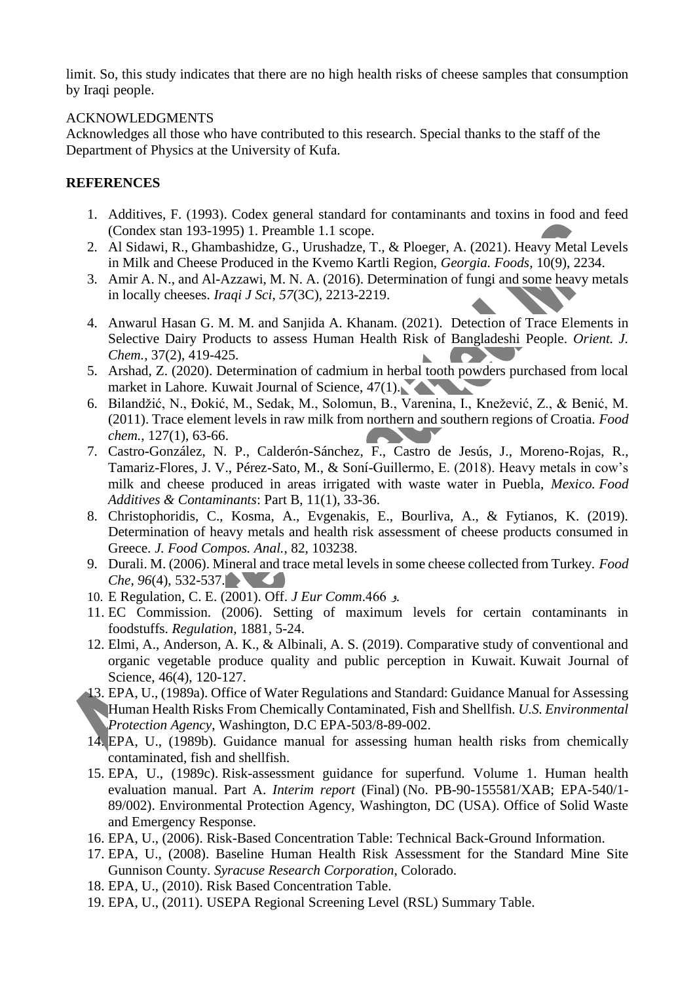limit. So, this study indicates that there are no high health risks of cheese samples that consumption by Iraqi people.

## ACKNOWLEDGMENTS

Acknowledges all those who have contributed to this research. Special thanks to the staff of the Department of Physics at the University of Kufa.

## **REFERENCES**

- 1. Additives, F. (1993). Codex general standard for contaminants and toxins in food and feed (Condex stan 193-1995) 1. Preamble 1.1 scope.
- 2. Al Sidawi, R., Ghambashidze, G., Urushadze, T., & Ploeger, A. (2021). Heavy Metal Levels in Milk and Cheese Produced in the Kvemo Kartli Region, *Georgia. Foods,* 10(9), 2234.
- 3. Amir A. N., and Al-Azzawi, M. N. A. (2016). Determination of fungi and some heavy metals in locally cheeses. *Iraqi J Sci*, *57*(3C), 2213-2219.
- 4. Anwarul Hasan G. M. M. and Sanjida A. Khanam. (2021). Detection of Trace Elements in Selective Dairy Products to assess Human Health Risk of Bangladeshi People. *Orient. J. Chem.,* 37(2), 419-425.
- 5. Arshad, Z. (2020). Determination of cadmium in herbal tooth powders purchased from local market in Lahore. Kuwait Journal of Science, 47(1).
- 6. Bilandžić, N., Đokić, M., Sedak, M., Solomun, B., Varenina, I., Knežević, Z., & Benić, M. (2011). Trace element levels in raw milk from northern and southern regions of Croatia. *Food chem.*, 127(1), 63-66.
- 7. Castro-González, N. P., Calderón-Sánchez, F., Castro de Jesús, J., Moreno-Rojas, R., Tamariz-Flores, J. V., Pérez-Sato, M., & Soní-Guillermo, E. (2018). Heavy metals in cow's milk and cheese produced in areas irrigated with waste water in Puebla, *Mexico. Food Additives & Contaminants*: Part B, 11(1), 33-36.
- 8. Christophoridis, C., Kosma, A., Evgenakis, E., Bourliva, A., & Fytianos, K. (2019). Determination of heavy metals and health risk assessment of cheese products consumed in Greece. *J. Food Compos. Anal.*, 82, 103238.
- 9. Durali. M. (2006). Mineral and trace metal levels in some cheese collected from Turkey. *Food Che*, *96*(4), 532-537. **The Contract of Street**
- 10. E Regulation, C. E. (2001). Off. *J Eur Comm*.466 و.
- 11. EC Commission. (2006). Setting of maximum levels for certain contaminants in foodstuffs. *Regulation,* 1881, 5-24.
- 12. Elmi, A., Anderson, A. K., & Albinali, A. S. (2019). Comparative study of conventional and organic vegetable produce quality and public perception in Kuwait. Kuwait Journal of Science, 46(4), 120-127.
- 13. EPA, U., (1989a). Office of Water Regulations and Standard: Guidance Manual for Assessing Human Health Risks From Chemically Contaminated, Fish and Shellfish. *U.S. Environmental Protection Agency*, Washington, D.C EPA-503/8-89-002.
- 14. EPA, U., (1989b). Guidance manual for assessing human health risks from chemically contaminated, fish and shellfish.
- 15. EPA, U., (1989c). Risk-assessment guidance for superfund. Volume 1. Human health evaluation manual. Part A. *Interim report* (Final) (No. PB-90-155581/XAB; EPA-540/1- 89/002). Environmental Protection Agency, Washington, DC (USA). Office of Solid Waste and Emergency Response.
- 16. EPA, U., (2006). Risk-Based Concentration Table: Technical Back-Ground Information.
- 17. EPA, U., (2008). Baseline Human Health Risk Assessment for the Standard Mine Site Gunnison County. *Syracuse Research Corporation*, Colorado.
- 18. EPA, U., (2010). Risk Based Concentration Table.
- 19. EPA, U., (2011). USEPA Regional Screening Level (RSL) Summary Table.